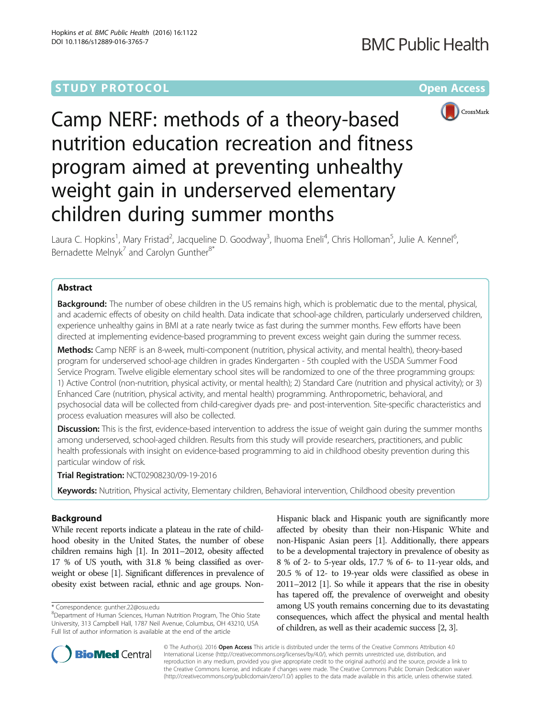# **STUDY PROTOCOL CONSUMING THE CONSUMING OPEN ACCESS**



Camp NERF: methods of a theory-based nutrition education recreation and fitness program aimed at preventing unhealthy weight gain in underserved elementary children during summer months

Laura C. Hopkins<sup>1</sup>, Mary Fristad<sup>2</sup>, Jacqueline D. Goodway<sup>3</sup>, Ihuoma Eneli<sup>4</sup>, Chris Holloman<sup>5</sup>, Julie A. Kennel<sup>6</sup> , Bernadette Melnyk<sup>7</sup> and Carolyn Gunther $8^*$ 

# Abstract

**Background:** The number of obese children in the US remains high, which is problematic due to the mental, physical, and academic effects of obesity on child health. Data indicate that school-age children, particularly underserved children, experience unhealthy gains in BMI at a rate nearly twice as fast during the summer months. Few efforts have been directed at implementing evidence-based programming to prevent excess weight gain during the summer recess.

Methods: Camp NERF is an 8-week, multi-component (nutrition, physical activity, and mental health), theory-based program for underserved school-age children in grades Kindergarten - 5th coupled with the USDA Summer Food Service Program. Twelve eligible elementary school sites will be randomized to one of the three programming groups: 1) Active Control (non-nutrition, physical activity, or mental health); 2) Standard Care (nutrition and physical activity); or 3) Enhanced Care (nutrition, physical activity, and mental health) programming. Anthropometric, behavioral, and psychosocial data will be collected from child-caregiver dyads pre- and post-intervention. Site-specific characteristics and process evaluation measures will also be collected.

Discussion: This is the first, evidence-based intervention to address the issue of weight gain during the summer months among underserved, school-aged children. Results from this study will provide researchers, practitioners, and public health professionals with insight on evidence-based programming to aid in childhood obesity prevention during this particular window of risk.

Trial Registration: [NCT02908230/09-19-2016](https://clinicaltrials.gov/show/NCT02908230)

Keywords: Nutrition, Physical activity, Elementary children, Behavioral intervention, Childhood obesity prevention

# Background

While recent reports indicate a plateau in the rate of childhood obesity in the United States, the number of obese children remains high [[1](#page-9-0)]. In 2011–2012, obesity affected 17 % of US youth, with 31.8 % being classified as overweight or obese [\[1](#page-9-0)]. Significant differences in prevalence of obesity exist between racial, ethnic and age groups. Non-

Hispanic black and Hispanic youth are significantly more affected by obesity than their non-Hispanic White and non-Hispanic Asian peers [\[1](#page-9-0)]. Additionally, there appears to be a developmental trajectory in prevalence of obesity as 8 % of 2- to 5-year olds, 17.7 % of 6- to 11-year olds, and 20.5 % of 12- to 19-year olds were classified as obese in 2011–2012 [[1](#page-9-0)]. So while it appears that the rise in obesity has tapered off, the prevalence of overweight and obesity among US youth remains concerning due to its devastating consequences, which affect the physical and mental health of children, as well as their academic success [\[2, 3](#page-9-0)].



© The Author(s). 2016 Open Access This article is distributed under the terms of the Creative Commons Attribution 4.0 International License [\(http://creativecommons.org/licenses/by/4.0/](http://creativecommons.org/licenses/by/4.0/)), which permits unrestricted use, distribution, and reproduction in any medium, provided you give appropriate credit to the original author(s) and the source, provide a link to the Creative Commons license, and indicate if changes were made. The Creative Commons Public Domain Dedication waiver [\(http://creativecommons.org/publicdomain/zero/1.0/](http://creativecommons.org/publicdomain/zero/1.0/)) applies to the data made available in this article, unless otherwise stated.

<sup>\*</sup> Correspondence: [gunther.22@osu.edu](mailto:gunther.22@osu.edu) <sup>8</sup>

Department of Human Sciences, Human Nutrition Program, The Ohio State University, 313 Campbell Hall, 1787 Neil Avenue, Columbus, OH 43210, USA Full list of author information is available at the end of the article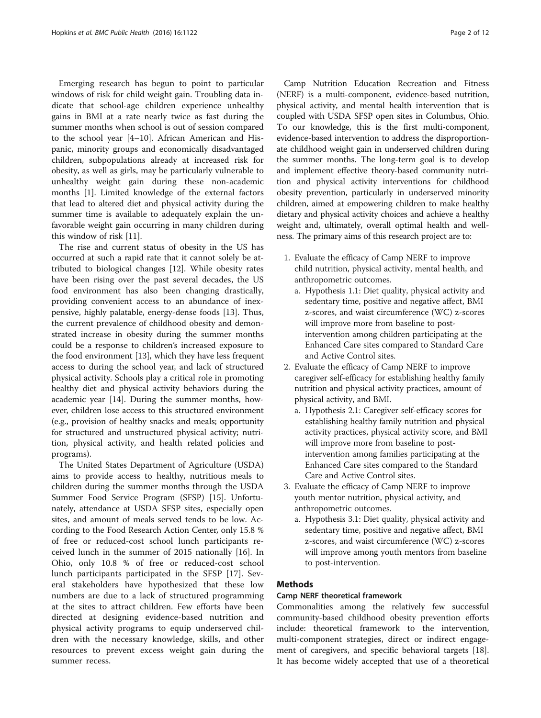Emerging research has begun to point to particular windows of risk for child weight gain. Troubling data indicate that school-age children experience unhealthy gains in BMI at a rate nearly twice as fast during the summer months when school is out of session compared to the school year [[4](#page-9-0)–[10\]](#page-9-0). African American and Hispanic, minority groups and economically disadvantaged children, subpopulations already at increased risk for obesity, as well as girls, may be particularly vulnerable to unhealthy weight gain during these non-academic months [[1\]](#page-9-0). Limited knowledge of the external factors that lead to altered diet and physical activity during the summer time is available to adequately explain the unfavorable weight gain occurring in many children during this window of risk [\[11](#page-9-0)].

The rise and current status of obesity in the US has occurred at such a rapid rate that it cannot solely be attributed to biological changes [[12](#page-9-0)]. While obesity rates have been rising over the past several decades, the US food environment has also been changing drastically, providing convenient access to an abundance of inexpensive, highly palatable, energy-dense foods [[13\]](#page-9-0). Thus, the current prevalence of childhood obesity and demonstrated increase in obesity during the summer months could be a response to children's increased exposure to the food environment [[13\]](#page-9-0), which they have less frequent access to during the school year, and lack of structured physical activity. Schools play a critical role in promoting healthy diet and physical activity behaviors during the academic year [[14](#page-9-0)]. During the summer months, however, children lose access to this structured environment (e.g., provision of healthy snacks and meals; opportunity for structured and unstructured physical activity; nutrition, physical activity, and health related policies and programs).

The United States Department of Agriculture (USDA) aims to provide access to healthy, nutritious meals to children during the summer months through the USDA Summer Food Service Program (SFSP) [[15\]](#page-9-0). Unfortunately, attendance at USDA SFSP sites, especially open sites, and amount of meals served tends to be low. According to the Food Research Action Center, only 15.8 % of free or reduced-cost school lunch participants received lunch in the summer of 2015 nationally [[16](#page-9-0)]. In Ohio, only 10.8 % of free or reduced-cost school lunch participants participated in the SFSP [[17](#page-9-0)]. Several stakeholders have hypothesized that these low numbers are due to a lack of structured programming at the sites to attract children. Few efforts have been directed at designing evidence-based nutrition and physical activity programs to equip underserved children with the necessary knowledge, skills, and other resources to prevent excess weight gain during the summer recess.

Camp Nutrition Education Recreation and Fitness (NERF) is a multi-component, evidence-based nutrition, physical activity, and mental health intervention that is coupled with USDA SFSP open sites in Columbus, Ohio. To our knowledge, this is the first multi-component, evidence-based intervention to address the disproportionate childhood weight gain in underserved children during the summer months. The long-term goal is to develop and implement effective theory-based community nutrition and physical activity interventions for childhood obesity prevention, particularly in underserved minority children, aimed at empowering children to make healthy dietary and physical activity choices and achieve a healthy weight and, ultimately, overall optimal health and wellness. The primary aims of this research project are to:

- 1. Evaluate the efficacy of Camp NERF to improve child nutrition, physical activity, mental health, and anthropometric outcomes.
	- a. Hypothesis 1.1: Diet quality, physical activity and sedentary time, positive and negative affect, BMI z-scores, and waist circumference (WC) z-scores will improve more from baseline to postintervention among children participating at the Enhanced Care sites compared to Standard Care and Active Control sites.
- 2. Evaluate the efficacy of Camp NERF to improve caregiver self-efficacy for establishing healthy family nutrition and physical activity practices, amount of physical activity, and BMI.
	- a. Hypothesis 2.1: Caregiver self-efficacy scores for establishing healthy family nutrition and physical activity practices, physical activity score, and BMI will improve more from baseline to postintervention among families participating at the Enhanced Care sites compared to the Standard Care and Active Control sites.
- 3. Evaluate the efficacy of Camp NERF to improve youth mentor nutrition, physical activity, and anthropometric outcomes.
	- a. Hypothesis 3.1: Diet quality, physical activity and sedentary time, positive and negative affect, BMI z-scores, and waist circumference (WC) z-scores will improve among youth mentors from baseline to post-intervention.

# Methods

# Camp NERF theoretical framework

Commonalities among the relatively few successful community-based childhood obesity prevention efforts include: theoretical framework to the intervention, multi-component strategies, direct or indirect engagement of caregivers, and specific behavioral targets [\[18](#page-9-0)]. It has become widely accepted that use of a theoretical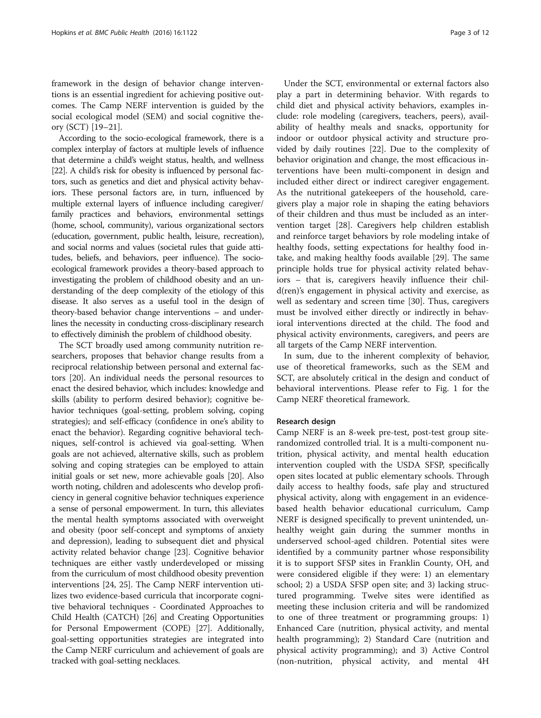framework in the design of behavior change interventions is an essential ingredient for achieving positive outcomes. The Camp NERF intervention is guided by the social ecological model (SEM) and social cognitive theory (SCT) [[19](#page-9-0)–[21](#page-10-0)].

According to the socio-ecological framework, there is a complex interplay of factors at multiple levels of influence that determine a child's weight status, health, and wellness [[22](#page-10-0)]. A child's risk for obesity is influenced by personal factors, such as genetics and diet and physical activity behaviors. These personal factors are, in turn, influenced by multiple external layers of influence including caregiver/ family practices and behaviors, environmental settings (home, school, community), various organizational sectors (education, government, public health, leisure, recreation), and social norms and values (societal rules that guide attitudes, beliefs, and behaviors, peer influence). The socioecological framework provides a theory-based approach to investigating the problem of childhood obesity and an understanding of the deep complexity of the etiology of this disease. It also serves as a useful tool in the design of theory-based behavior change interventions – and underlines the necessity in conducting cross-disciplinary research to effectively diminish the problem of childhood obesity.

The SCT broadly used among community nutrition researchers, proposes that behavior change results from a reciprocal relationship between personal and external factors [\[20](#page-10-0)]. An individual needs the personal resources to enact the desired behavior, which includes: knowledge and skills (ability to perform desired behavior); cognitive behavior techniques (goal-setting, problem solving, coping strategies); and self-efficacy (confidence in one's ability to enact the behavior). Regarding cognitive behavioral techniques, self-control is achieved via goal-setting. When goals are not achieved, alternative skills, such as problem solving and coping strategies can be employed to attain initial goals or set new, more achievable goals [[20](#page-10-0)]. Also worth noting, children and adolescents who develop proficiency in general cognitive behavior techniques experience a sense of personal empowerment. In turn, this alleviates the mental health symptoms associated with overweight and obesity (poor self-concept and symptoms of anxiety and depression), leading to subsequent diet and physical activity related behavior change [[23](#page-10-0)]. Cognitive behavior techniques are either vastly underdeveloped or missing from the curriculum of most childhood obesity prevention interventions [\[24, 25\]](#page-10-0). The Camp NERF intervention utilizes two evidence-based curricula that incorporate cognitive behavioral techniques - Coordinated Approaches to Child Health (CATCH) [\[26\]](#page-10-0) and Creating Opportunities for Personal Empowerment (COPE) [[27](#page-10-0)]. Additionally, goal-setting opportunities strategies are integrated into the Camp NERF curriculum and achievement of goals are tracked with goal-setting necklaces.

Under the SCT, environmental or external factors also play a part in determining behavior. With regards to child diet and physical activity behaviors, examples include: role modeling (caregivers, teachers, peers), availability of healthy meals and snacks, opportunity for indoor or outdoor physical activity and structure provided by daily routines [[22\]](#page-10-0). Due to the complexity of behavior origination and change, the most efficacious interventions have been multi-component in design and included either direct or indirect caregiver engagement. As the nutritional gatekeepers of the household, caregivers play a major role in shaping the eating behaviors of their children and thus must be included as an intervention target [[28\]](#page-10-0). Caregivers help children establish and reinforce target behaviors by role modeling intake of healthy foods, setting expectations for healthy food intake, and making healthy foods available [[29](#page-10-0)]. The same principle holds true for physical activity related behaviors – that is, caregivers heavily influence their child(ren)'s engagement in physical activity and exercise, as well as sedentary and screen time [[30](#page-10-0)]. Thus, caregivers must be involved either directly or indirectly in behavioral interventions directed at the child. The food and physical activity environments, caregivers, and peers are all targets of the Camp NERF intervention.

In sum, due to the inherent complexity of behavior, use of theoretical frameworks, such as the SEM and SCT, are absolutely critical in the design and conduct of behavioral interventions. Please refer to Fig. [1](#page-3-0) for the Camp NERF theoretical framework.

## Research design

Camp NERF is an 8-week pre-test, post-test group siterandomized controlled trial. It is a multi-component nutrition, physical activity, and mental health education intervention coupled with the USDA SFSP, specifically open sites located at public elementary schools. Through daily access to healthy foods, safe play and structured physical activity, along with engagement in an evidencebased health behavior educational curriculum, Camp NERF is designed specifically to prevent unintended, unhealthy weight gain during the summer months in underserved school-aged children. Potential sites were identified by a community partner whose responsibility it is to support SFSP sites in Franklin County, OH, and were considered eligible if they were: 1) an elementary school; 2) a USDA SFSP open site; and 3) lacking structured programming. Twelve sites were identified as meeting these inclusion criteria and will be randomized to one of three treatment or programming groups: 1) Enhanced Care (nutrition, physical activity, and mental health programming); 2) Standard Care (nutrition and physical activity programming); and 3) Active Control (non-nutrition, physical activity, and mental 4H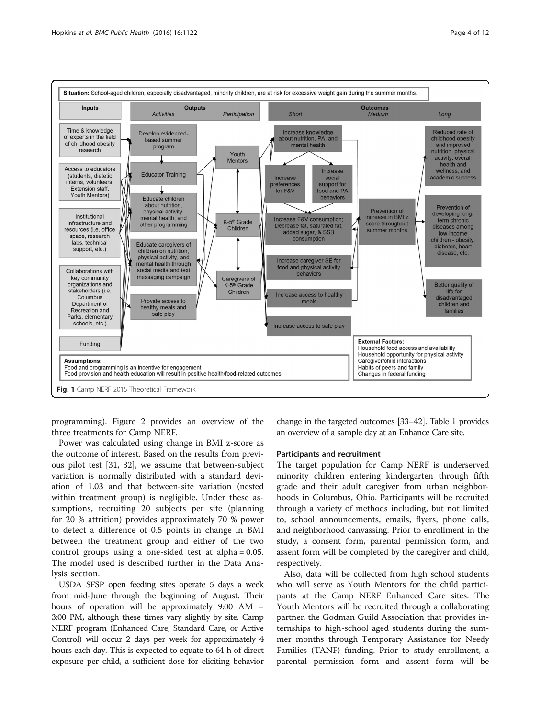<span id="page-3-0"></span>

programming). Figure [2](#page-4-0) provides an overview of the three treatments for Camp NERF.

Power was calculated using change in BMI z-score as the outcome of interest. Based on the results from previous pilot test [[31](#page-10-0), [32](#page-10-0)], we assume that between-subject variation is normally distributed with a standard deviation of 1.03 and that between-site variation (nested within treatment group) is negligible. Under these assumptions, recruiting 20 subjects per site (planning for 20 % attrition) provides approximately 70 % power to detect a difference of 0.5 points in change in BMI between the treatment group and either of the two control groups using a one-sided test at alpha = 0.05. The model used is described further in the Data Analysis section.

USDA SFSP open feeding sites operate 5 days a week from mid-June through the beginning of August. Their hours of operation will be approximately 9:00 AM – 3:00 PM, although these times vary slightly by site. Camp NERF program (Enhanced Care, Standard Care, or Active Control) will occur 2 days per week for approximately 4 hours each day. This is expected to equate to 64 h of direct exposure per child, a sufficient dose for eliciting behavior change in the targeted outcomes [[33](#page-10-0)–[42](#page-10-0)]. Table [1](#page-4-0) provides an overview of a sample day at an Enhance Care site.

#### Participants and recruitment

The target population for Camp NERF is underserved minority children entering kindergarten through fifth grade and their adult caregiver from urban neighborhoods in Columbus, Ohio. Participants will be recruited through a variety of methods including, but not limited to, school announcements, emails, flyers, phone calls, and neighborhood canvassing. Prior to enrollment in the study, a consent form, parental permission form, and assent form will be completed by the caregiver and child, respectively.

Also, data will be collected from high school students who will serve as Youth Mentors for the child participants at the Camp NERF Enhanced Care sites. The Youth Mentors will be recruited through a collaborating partner, the Godman Guild Association that provides internships to high-school aged students during the summer months through Temporary Assistance for Needy Families (TANF) funding. Prior to study enrollment, a parental permission form and assent form will be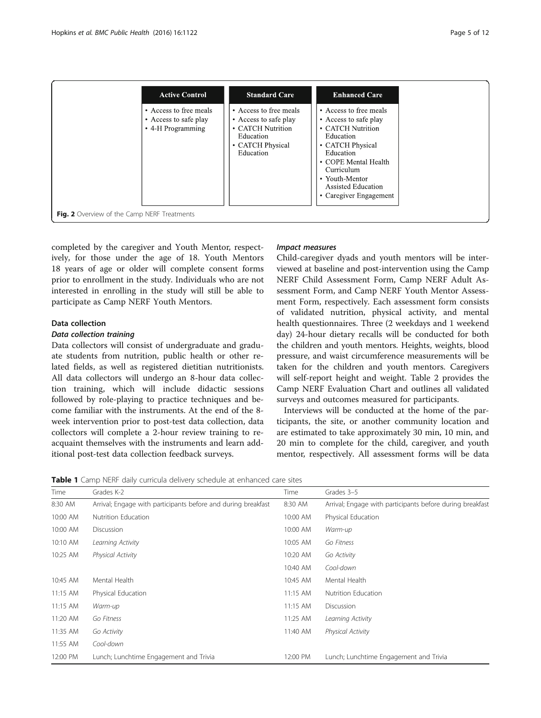<span id="page-4-0"></span>

completed by the caregiver and Youth Mentor, respectively, for those under the age of 18. Youth Mentors 18 years of age or older will complete consent forms prior to enrollment in the study. Individuals who are not interested in enrolling in the study will still be able to participate as Camp NERF Youth Mentors.

## Data collection

#### Data collection training

Data collectors will consist of undergraduate and graduate students from nutrition, public health or other related fields, as well as registered dietitian nutritionists. All data collectors will undergo an 8-hour data collection training, which will include didactic sessions followed by role-playing to practice techniques and become familiar with the instruments. At the end of the 8 week intervention prior to post-test data collection, data collectors will complete a 2-hour review training to reacquaint themselves with the instruments and learn additional post-test data collection feedback surveys.

# Impact measures

Child-caregiver dyads and youth mentors will be interviewed at baseline and post-intervention using the Camp NERF Child Assessment Form, Camp NERF Adult Assessment Form, and Camp NERF Youth Mentor Assessment Form, respectively. Each assessment form consists of validated nutrition, physical activity, and mental health questionnaires. Three (2 weekdays and 1 weekend day) 24-hour dietary recalls will be conducted for both the children and youth mentors. Heights, weights, blood pressure, and waist circumference measurements will be taken for the children and youth mentors. Caregivers will self-report height and weight. Table [2](#page-5-0) provides the Camp NERF Evaluation Chart and outlines all validated surveys and outcomes measured for participants.

Interviews will be conducted at the home of the participants, the site, or another community location and are estimated to take approximately 30 min, 10 min, and 20 min to complete for the child, caregiver, and youth mentor, respectively. All assessment forms will be data

Table 1 Camp NERF daily curricula delivery schedule at enhanced care sites

| Time     | Grades K-2                                                    | Time       | Grades 3-5                                                |
|----------|---------------------------------------------------------------|------------|-----------------------------------------------------------|
| 8:30 AM  | Arrival; Engage with participants before and during breakfast | 8:30 AM    | Arrival; Engage with participants before during breakfast |
| 10:00 AM | Nutrition Education                                           | 10:00 AM   | Physical Education                                        |
| 10:00 AM | Discussion                                                    | 10:00 AM   | Warm-up                                                   |
| 10:10 AM | Learning Activity                                             | 10:05 AM   | Go Fitness                                                |
| 10:25 AM | Physical Activity                                             | 10:20 AM   | Go Activity                                               |
|          |                                                               | 10:40 AM   | Cool-down                                                 |
| 10:45 AM | Mental Health                                                 | 10:45 AM   | Mental Health                                             |
| 11:15 AM | Physical Education                                            | $11:15$ AM | Nutrition Education                                       |
| 11:15 AM | Warm-up                                                       | $11:15$ AM | Discussion                                                |
| 11:20 AM | Go Fitness                                                    | 11:25 AM   | Learning Activity                                         |
| 11:35 AM | Go Activity                                                   | 11:40 AM   | <b>Physical Activity</b>                                  |
| 11:55 AM | Cool-down                                                     |            |                                                           |
| 12:00 PM | Lunch; Lunchtime Engagement and Trivia                        | 12:00 PM   | Lunch; Lunchtime Engagement and Trivia                    |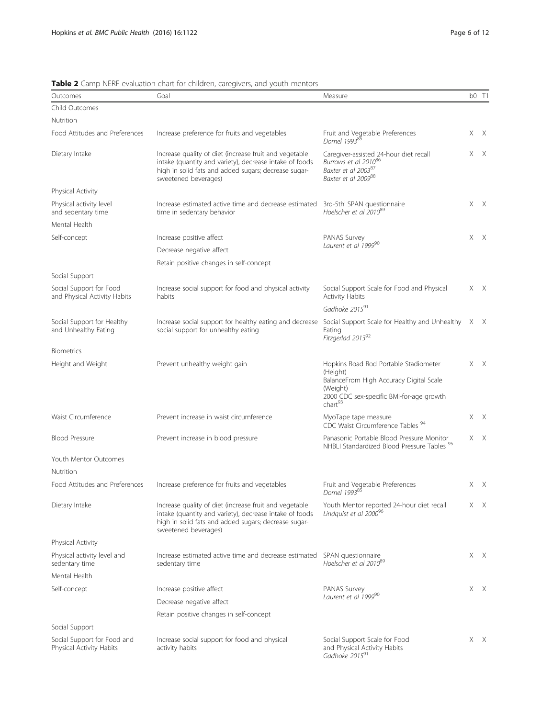| Outcomes                                                | Goal                                                                                                                                                                                              | Measure                                                                                                                                                                    |     | b0 T1        |
|---------------------------------------------------------|---------------------------------------------------------------------------------------------------------------------------------------------------------------------------------------------------|----------------------------------------------------------------------------------------------------------------------------------------------------------------------------|-----|--------------|
| Child Outcomes                                          |                                                                                                                                                                                                   |                                                                                                                                                                            |     |              |
| Nutrition                                               |                                                                                                                                                                                                   |                                                                                                                                                                            |     |              |
| Food Attitudes and Preferences                          | Increase preference for fruits and vegetables                                                                                                                                                     | Fruit and Vegetable Preferences<br>Domel 199385                                                                                                                            |     | X X          |
| Dietary Intake                                          | Increase quality of diet (increase fruit and vegetable<br>intake (quantity and variety), decrease intake of foods<br>high in solid fats and added sugars; decrease sugar-<br>sweetened beverages) | Caregiver-assisted 24-hour diet recall<br>Burrows et al 201086<br>Baxter et al 200387<br>Baxter et al 2009 <sup>88</sup>                                                   |     | X X          |
| Physical Activity                                       |                                                                                                                                                                                                   |                                                                                                                                                                            |     |              |
| Physical activity level<br>and sedentary time           | Increase estimated active time and decrease estimated<br>time in sedentary behavior                                                                                                               | 3rd-5th SPAN questionnaire<br>Hoelscher et al 2010 <sup>89</sup>                                                                                                           |     | $X$ $X$      |
| Mental Health                                           |                                                                                                                                                                                                   |                                                                                                                                                                            |     |              |
| Self-concept                                            | Increase positive affect                                                                                                                                                                          | PANAS Survey                                                                                                                                                               | X X |              |
|                                                         | Decrease negative affect                                                                                                                                                                          | Laurent et al 199990                                                                                                                                                       |     |              |
|                                                         | Retain positive changes in self-concept                                                                                                                                                           |                                                                                                                                                                            |     |              |
| Social Support                                          |                                                                                                                                                                                                   |                                                                                                                                                                            |     |              |
| Social Support for Food<br>and Physical Activity Habits | Increase social support for food and physical activity<br>habits                                                                                                                                  | Social Support Scale for Food and Physical<br>Activity Habits                                                                                                              |     | $X$ $X$      |
|                                                         |                                                                                                                                                                                                   | Gadhoke 201591                                                                                                                                                             |     |              |
| Social Support for Healthy<br>and Unhealthy Eating      | Increase social support for healthy eating and decrease<br>social support for unhealthy eating                                                                                                    | Social Support Scale for Healthy and Unhealthy X<br>Eating<br>Fitzgerlad 201392                                                                                            |     | $\mathsf{X}$ |
| <b>Biometrics</b>                                       |                                                                                                                                                                                                   |                                                                                                                                                                            |     |              |
| Height and Weight                                       | Prevent unhealthy weight gain                                                                                                                                                                     | Hopkins Road Rod Portable Stadiometer<br>(Height)<br>BalanceFrom High Accuracy Digital Scale<br>(Weight)<br>2000 CDC sex-specific BMI-for-age growth<br>char <sup>93</sup> |     | X X          |
| Waist Circumference                                     | Prevent increase in waist circumference                                                                                                                                                           | MyoTape tape measure<br>CDC Waist Circumference Tables <sup>94</sup>                                                                                                       |     | X X          |
| <b>Blood Pressure</b>                                   | Prevent increase in blood pressure                                                                                                                                                                | Panasonic Portable Blood Pressure Monitor<br>NHBLI Standardized Blood Pressure Tables <sup>95</sup>                                                                        |     | X X          |
| Youth Mentor Outcomes                                   |                                                                                                                                                                                                   |                                                                                                                                                                            |     |              |
| Nutrition                                               |                                                                                                                                                                                                   |                                                                                                                                                                            |     |              |
| Food Attitudes and Preferences                          | Increase preference for fruits and vegetables                                                                                                                                                     | Fruit and Vegetable Preferences<br>Domel 199385                                                                                                                            |     | $X$ $X$      |
| Dietary Intake                                          | Increase quality of diet (increase fruit and vegetable<br>intake (quantity and variety), decrease intake of foods<br>high in solid fats and added sugars; decrease sugar-<br>sweetened beverages) | Youth Mentor reported 24-hour diet recall<br>Lindquist et al 2000 <sup>96</sup>                                                                                            |     | X X          |
| Physical Activity                                       |                                                                                                                                                                                                   |                                                                                                                                                                            |     |              |
| Physical activity level and<br>sedentary time           | Increase estimated active time and decrease estimated<br>sedentary time                                                                                                                           | SPAN questionnaire<br>Hoelscher et al 2010 <sup>89</sup>                                                                                                                   |     | X X          |
| Mental Health                                           |                                                                                                                                                                                                   |                                                                                                                                                                            |     |              |
| Self-concept                                            | Increase positive affect                                                                                                                                                                          | PANAS Survey                                                                                                                                                               |     | X X          |
|                                                         | Decrease negative affect                                                                                                                                                                          | Laurent et al 199990                                                                                                                                                       |     |              |
|                                                         | Retain positive changes in self-concept                                                                                                                                                           |                                                                                                                                                                            |     |              |
| Social Support                                          |                                                                                                                                                                                                   |                                                                                                                                                                            |     |              |
| Social Support for Food and                             | Increase social support for food and physical                                                                                                                                                     | Social Support Scale for Food                                                                                                                                              |     | X X          |

<span id="page-5-0"></span>Table 2 Camp NERF evaluation chart for children, caregivers, and youth mentors<br>Outcomes Goal

Physical Activity Habits activity habits and Physical Activity Habits<br>Gadhoke 2015<sup>91</sup>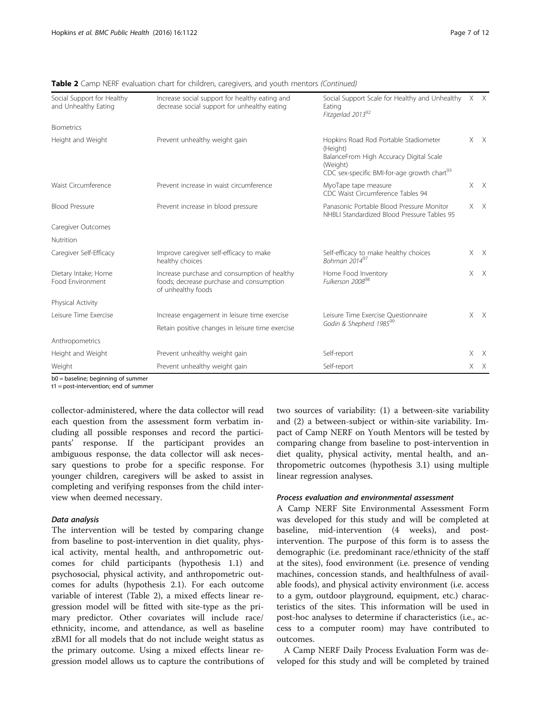|                                                    | <b>ADIC</b> $\blacktriangle$ camp near craigation chart for children, caregivers, and youth memors (commaca)   |                                                                                                                                                                     |              |
|----------------------------------------------------|----------------------------------------------------------------------------------------------------------------|---------------------------------------------------------------------------------------------------------------------------------------------------------------------|--------------|
| Social Support for Healthy<br>and Unhealthy Eating | Increase social support for healthy eating and<br>decrease social support for unhealthy eating                 | Social Support Scale for Healthy and Unhealthy X X<br>Eating<br>Fitzgerlad 201392                                                                                   |              |
| <b>Biometrics</b>                                  |                                                                                                                |                                                                                                                                                                     |              |
| Height and Weight                                  | Prevent unhealthy weight gain                                                                                  | Hopkins Road Rod Portable Stadiometer<br>(Height)<br>BalanceFrom High Accuracy Digital Scale<br>(Weight)<br>CDC sex-specific BMI-for-age growth chart <sup>93</sup> | $X$ $X$      |
| Waist Circumference                                | Prevent increase in waist circumference                                                                        | MyoTape tape measure<br>CDC Waist Circumference Tables 94                                                                                                           | $X$ $X$      |
| <b>Blood Pressure</b>                              | Prevent increase in blood pressure                                                                             | Panasonic Portable Blood Pressure Monitor<br>NHBLI Standardized Blood Pressure Tables 95                                                                            | X X          |
| Caregiver Outcomes                                 |                                                                                                                |                                                                                                                                                                     |              |
| Nutrition                                          |                                                                                                                |                                                                                                                                                                     |              |
| Caregiver Self-Efficacy                            | Improve caregiver self-efficacy to make<br>healthy choices                                                     | Self-efficacy to make healthy choices<br>Bohman $2014^{97}$                                                                                                         | $X \times X$ |
| Dietary Intake; Home<br>Food Environment           | Increase purchase and consumption of healthy<br>foods; decrease purchase and consumption<br>of unhealthy foods | Home Food Inventory<br>Fulkerson 2008 <sup>98</sup>                                                                                                                 | $X$ $X$      |
| Physical Activity                                  |                                                                                                                |                                                                                                                                                                     |              |
| Leisure Time Exercise                              | Increase engagement in leisure time exercise                                                                   | Leisure Time Exercise Questionnaire                                                                                                                                 | $X$ $X$      |
|                                                    | Retain positive changes in leisure time exercise                                                               | Godin & Shepherd 1985 <sup>99</sup>                                                                                                                                 |              |
| Anthropometrics                                    |                                                                                                                |                                                                                                                                                                     |              |
| Height and Weight                                  | Prevent unhealthy weight gain                                                                                  | Self-report                                                                                                                                                         | $X$ $X$      |
| Weight                                             | Prevent unhealthy weight gain                                                                                  | Self-report                                                                                                                                                         | $X \times X$ |
| $h_0$ – baseling beginning of summer               |                                                                                                                |                                                                                                                                                                     |              |

Table 2 Camp NERF evaluation chart for children, caregivers, and youth mentors (Continued)

= baseline; beginning of summer

t1 = post-intervention; end of summer

collector-administered, where the data collector will read each question from the assessment form verbatim including all possible responses and record the participants' response. If the participant provides an ambiguous response, the data collector will ask necessary questions to probe for a specific response. For younger children, caregivers will be asked to assist in completing and verifying responses from the child interview when deemed necessary.

# Data analysis

The intervention will be tested by comparing change from baseline to post-intervention in diet quality, physical activity, mental health, and anthropometric outcomes for child participants (hypothesis 1.1) and psychosocial, physical activity, and anthropometric outcomes for adults (hypothesis 2.1). For each outcome variable of interest (Table [2\)](#page-5-0), a mixed effects linear regression model will be fitted with site-type as the primary predictor. Other covariates will include race/ ethnicity, income, and attendance, as well as baseline zBMI for all models that do not include weight status as the primary outcome. Using a mixed effects linear regression model allows us to capture the contributions of

two sources of variability: (1) a between-site variability and (2) a between-subject or within-site variability. Impact of Camp NERF on Youth Mentors will be tested by comparing change from baseline to post-intervention in diet quality, physical activity, mental health, and anthropometric outcomes (hypothesis 3.1) using multiple linear regression analyses.

## Process evaluation and environmental assessment

A Camp NERF Site Environmental Assessment Form was developed for this study and will be completed at baseline, mid-intervention (4 weeks), and postintervention. The purpose of this form is to assess the demographic (i.e. predominant race/ethnicity of the staff at the sites), food environment (i.e. presence of vending machines, concession stands, and healthfulness of available foods), and physical activity environment (i.e. access to a gym, outdoor playground, equipment, etc.) characteristics of the sites. This information will be used in post-hoc analyses to determine if characteristics (i.e., access to a computer room) may have contributed to outcomes.

A Camp NERF Daily Process Evaluation Form was developed for this study and will be completed by trained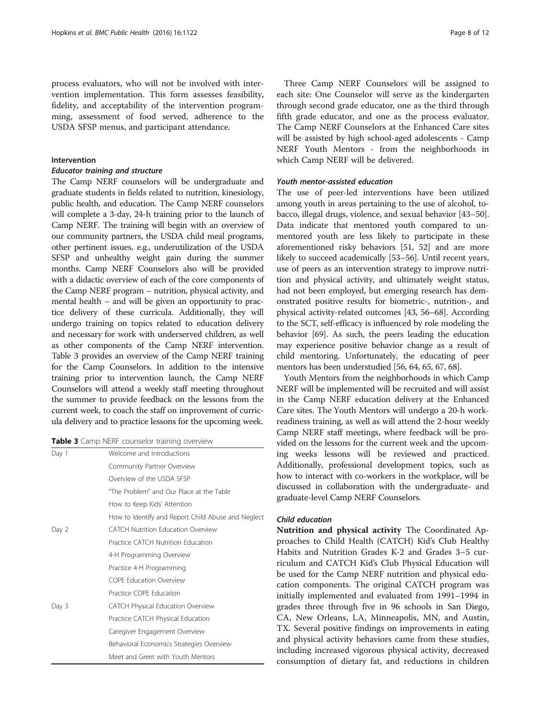process evaluators, who will not be involved with intervention implementation. This form assesses feasibility, fidelity, and acceptability of the intervention programming, assessment of food served, adherence to the USDA SFSP menus, and participant attendance.

### Intervention

#### Educator training and structure

The Camp NERF counselors will be undergraduate and graduate students in fields related to nutrition, kinesiology, public health, and education. The Camp NERF counselors will complete a 3-day, 24-h training prior to the launch of Camp NERF. The training will begin with an overview of our community partners, the USDA child meal programs, other pertinent issues, e.g., underutilization of the USDA SFSP and unhealthy weight gain during the summer months. Camp NERF Counselors also will be provided with a didactic overview of each of the core components of the Camp NERF program – nutrition, physical activity, and mental health – and will be given an opportunity to practice delivery of these curricula. Additionally, they will undergo training on topics related to education delivery and necessary for work with underserved children, as well as other components of the Camp NERF intervention. Table 3 provides an overview of the Camp NERF training for the Camp Counselors. In addition to the intensive training prior to intervention launch, the Camp NERF Counselors will attend a weekly staff meeting throughout the summer to provide feedback on the lessons from the current week, to coach the staff on improvement of curricula delivery and to practice lessons for the upcoming week.

|  | Table 3 Camp NERF counselor training overview |  |  |  |
|--|-----------------------------------------------|--|--|--|
|--|-----------------------------------------------|--|--|--|

| Day 1 | Welcome and Introductions                          |
|-------|----------------------------------------------------|
|       | Community Partner Overview                         |
|       | Overview of the USDA SESP                          |
|       | "The Problem" and Our Place at the Table           |
|       | How to Keep Kids' Attention                        |
|       | How to Identify and Report Child Abuse and Neglect |
| Day 2 | <b>CATCH Nutrition Education Overview</b>          |
|       | Practice CATCH Nutrition Education                 |
|       | 4-H Programming Overview                           |
|       | Practice 4-H Programming                           |
|       | <b>COPF Education Overview</b>                     |
|       | Practice COPE Education                            |
| Day 3 | <b>CATCH Physical Education Overview</b>           |
|       | Practice CATCH Physical Education                  |
|       | Caregiver Engagement Overview                      |
|       | Behavioral Economics Strategies Overview           |
|       | Meet and Greet with Youth Mentors                  |
|       |                                                    |

Three Camp NERF Counselors will be assigned to each site: One Counselor will serve as the kindergarten through second grade educator, one as the third through fifth grade educator, and one as the process evaluator. The Camp NERF Counselors at the Enhanced Care sites will be assisted by high school-aged adolescents - Camp NERF Youth Mentors - from the neighborhoods in which Camp NERF will be delivered.

# Youth mentor-assisted education

The use of peer-led interventions have been utilized among youth in areas pertaining to the use of alcohol, tobacco, illegal drugs, violence, and sexual behavior [\[43](#page-10-0)–[50](#page-10-0)]. Data indicate that mentored youth compared to unmentored youth are less likely to participate in these aforementioned risky behaviors [\[51, 52\]](#page-10-0) and are more likely to succeed academically [\[53](#page-10-0)–[56](#page-10-0)]. Until recent years, use of peers as an intervention strategy to improve nutrition and physical activity, and ultimately weight status, had not been employed, but emerging research has demonstrated positive results for biometric-, nutrition-, and physical activity-related outcomes [\[43, 56](#page-10-0)–[68](#page-10-0)]. According to the SCT, self-efficacy is influenced by role modeling the behavior [[69](#page-10-0)]. As such, the peers leading the education may experience positive behavior change as a result of child mentoring. Unfortunately, the educating of peer mentors has been understudied [\[56](#page-10-0), [64](#page-10-0), [65, 67](#page-10-0), [68](#page-10-0)].

Youth Mentors from the neighborhoods in which Camp NERF will be implemented will be recruited and will assist in the Camp NERF education delivery at the Enhanced Care sites. The Youth Mentors will undergo a 20-h workreadiness training, as well as will attend the 2-hour weekly Camp NERF staff meetings, where feedback will be provided on the lessons for the current week and the upcoming weeks lessons will be reviewed and practiced. Additionally, professional development topics, such as how to interact with co-workers in the workplace, will be discussed in collaboration with the undergraduate- and graduate-level Camp NERF Counselors.

### Child education

Nutrition and physical activity The Coordinated Approaches to Child Health (CATCH) Kid's Club Healthy Habits and Nutrition Grades K-2 and Grades 3–5 curriculum and CATCH Kid's Club Physical Education will be used for the Camp NERF nutrition and physical education components. The original CATCH program was initially implemented and evaluated from 1991–1994 in grades three through five in 96 schools in San Diego, CA, New Orleans, LA, Minneapolis, MN, and Austin, TX. Several positive findings on improvements in eating and physical activity behaviors came from these studies, including increased vigorous physical activity, decreased consumption of dietary fat, and reductions in children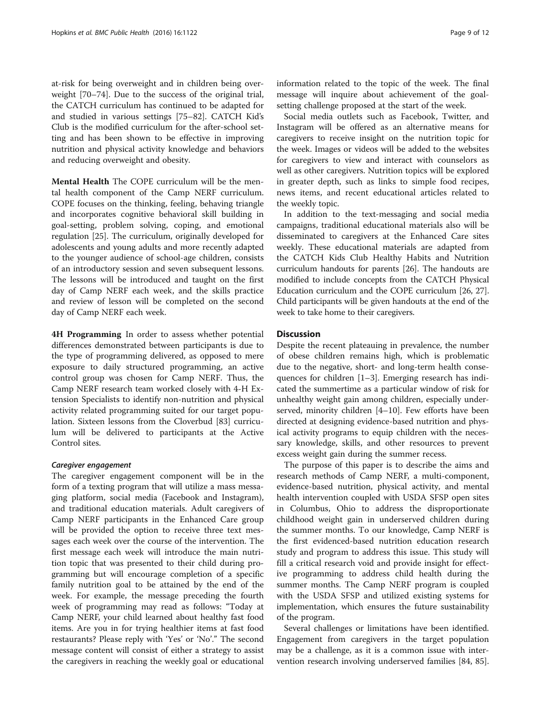at-risk for being overweight and in children being overweight [[70](#page-11-0)–[74](#page-11-0)]. Due to the success of the original trial, the CATCH curriculum has continued to be adapted for and studied in various settings [[75](#page-11-0)–[82](#page-11-0)]. CATCH Kid's Club is the modified curriculum for the after-school setting and has been shown to be effective in improving nutrition and physical activity knowledge and behaviors and reducing overweight and obesity.

Mental Health The COPE curriculum will be the mental health component of the Camp NERF curriculum. COPE focuses on the thinking, feeling, behaving triangle and incorporates cognitive behavioral skill building in goal-setting, problem solving, coping, and emotional regulation [\[25](#page-10-0)]. The curriculum, originally developed for adolescents and young adults and more recently adapted to the younger audience of school-age children, consists of an introductory session and seven subsequent lessons. The lessons will be introduced and taught on the first day of Camp NERF each week, and the skills practice and review of lesson will be completed on the second day of Camp NERF each week.

**4H Programming** In order to assess whether potential differences demonstrated between participants is due to the type of programming delivered, as opposed to mere exposure to daily structured programming, an active control group was chosen for Camp NERF. Thus, the Camp NERF research team worked closely with 4-H Extension Specialists to identify non-nutrition and physical activity related programming suited for our target population. Sixteen lessons from the Cloverbud [[83\]](#page-11-0) curriculum will be delivered to participants at the Active Control sites.

#### Caregiver engagement

The caregiver engagement component will be in the form of a texting program that will utilize a mass messaging platform, social media (Facebook and Instagram), and traditional education materials. Adult caregivers of Camp NERF participants in the Enhanced Care group will be provided the option to receive three text messages each week over the course of the intervention. The first message each week will introduce the main nutrition topic that was presented to their child during programming but will encourage completion of a specific family nutrition goal to be attained by the end of the week. For example, the message preceding the fourth week of programming may read as follows: "Today at Camp NERF, your child learned about healthy fast food items. Are you in for trying healthier items at fast food restaurants? Please reply with 'Yes' or 'No'." The second message content will consist of either a strategy to assist the caregivers in reaching the weekly goal or educational

information related to the topic of the week. The final message will inquire about achievement of the goalsetting challenge proposed at the start of the week.

Social media outlets such as Facebook, Twitter, and Instagram will be offered as an alternative means for caregivers to receive insight on the nutrition topic for the week. Images or videos will be added to the websites for caregivers to view and interact with counselors as well as other caregivers. Nutrition topics will be explored in greater depth, such as links to simple food recipes, news items, and recent educational articles related to the weekly topic.

In addition to the text-messaging and social media campaigns, traditional educational materials also will be disseminated to caregivers at the Enhanced Care sites weekly. These educational materials are adapted from the CATCH Kids Club Healthy Habits and Nutrition curriculum handouts for parents [\[26](#page-10-0)]. The handouts are modified to include concepts from the CATCH Physical Education curriculum and the COPE curriculum [[26](#page-10-0), [27](#page-10-0)]. Child participants will be given handouts at the end of the week to take home to their caregivers.

# **Discussion**

Despite the recent plateauing in prevalence, the number of obese children remains high, which is problematic due to the negative, short- and long-term health consequences for children [[1](#page-9-0)–[3\]](#page-9-0). Emerging research has indicated the summertime as a particular window of risk for unhealthy weight gain among children, especially underserved, minority children [[4](#page-9-0)–[10](#page-9-0)]. Few efforts have been directed at designing evidence-based nutrition and physical activity programs to equip children with the necessary knowledge, skills, and other resources to prevent excess weight gain during the summer recess.

The purpose of this paper is to describe the aims and research methods of Camp NERF, a multi-component, evidence-based nutrition, physical activity, and mental health intervention coupled with USDA SFSP open sites in Columbus, Ohio to address the disproportionate childhood weight gain in underserved children during the summer months. To our knowledge, Camp NERF is the first evidenced-based nutrition education research study and program to address this issue. This study will fill a critical research void and provide insight for effective programming to address child health during the summer months. The Camp NERF program is coupled with the USDA SFSP and utilized existing systems for implementation, which ensures the future sustainability of the program.

Several challenges or limitations have been identified. Engagement from caregivers in the target population may be a challenge, as it is a common issue with intervention research involving underserved families [\[84, 85](#page-11-0)].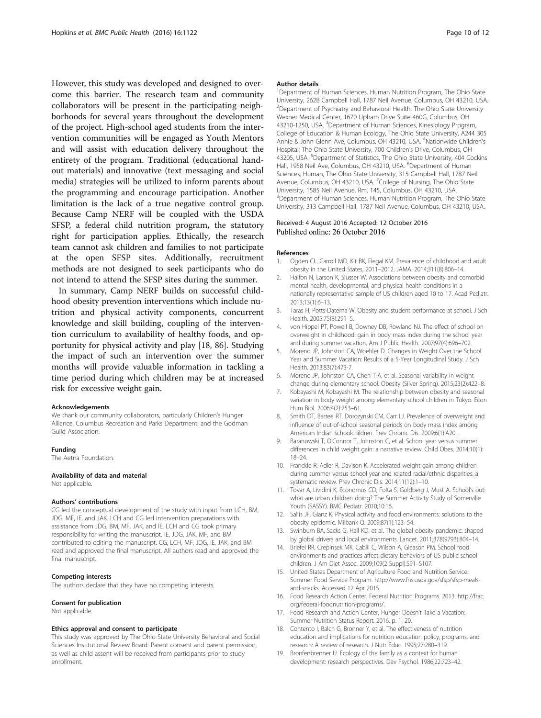<span id="page-9-0"></span>However, this study was developed and designed to overcome this barrier. The research team and community collaborators will be present in the participating neighborhoods for several years throughout the development of the project. High-school aged students from the intervention communities will be engaged as Youth Mentors and will assist with education delivery throughout the entirety of the program. Traditional (educational handout materials) and innovative (text messaging and social media) strategies will be utilized to inform parents about the programming and encourage participation. Another limitation is the lack of a true negative control group. Because Camp NERF will be coupled with the USDA SFSP, a federal child nutrition program, the statutory right for participation applies. Ethically, the research team cannot ask children and families to not participate at the open SFSP sites. Additionally, recruitment methods are not designed to seek participants who do not intend to attend the SFSP sites during the summer.

In summary, Camp NERF builds on successful childhood obesity prevention interventions which include nutrition and physical activity components, concurrent knowledge and skill building, coupling of the intervention curriculum to availability of healthy foods, and opportunity for physical activity and play [18, [86](#page-11-0)]. Studying the impact of such an intervention over the summer months will provide valuable information in tackling a time period during which children may be at increased risk for excessive weight gain.

#### Acknowledgements

We thank our community collaborators, particularly Children's Hunger Alliance, Columbus Recreation and Parks Department, and the Godman Guild Association.

#### Funding

The Aetna Foundation.

#### Availability of data and material

Not applicable.

#### Authors' contributions

CG led the conceptual development of the study with input from LCH, BM, JDG, MF, IE, and JAK. LCH and CG led intervention preparations with assistance from JDG, BM, MF, JAK, and IE. LCH and CG took primary responsibility for writing the manuscript. IE, JDG, JAK, MF, and BM contributed to editing the manuscript. CG, LCH, MF, JDG, IE, JAK, and BM read and approved the final manuscript. All authors read and approved the final manuscript.

#### Competing interests

The authors declare that they have no competing interests.

#### Consent for publication

Not applicable.

#### Ethics approval and consent to participate

This study was approved by The Ohio State University Behavioral and Social Sciences Institutional Review Board. Parent consent and parent permission, as well as child assent will be received from participants prior to study enrollment.

#### Author details

<sup>1</sup>Department of Human Sciences, Human Nutrition Program, The Ohio State University, 262B Campbell Hall, 1787 Neil Avenue, Columbus, OH 43210, USA. <sup>2</sup> Department of Psychiatry and Behavioral Health, The Ohio State University Wexner Medical Center, 1670 Upham Drive Suite 460G, Columbus, OH 43210-1250, USA. <sup>3</sup>Department of Human Sciences, Kinesiology Program College of Education & Human Ecology, The Ohio State University, A244 305 Annie & John Glenn Ave, Columbus, OH 43210, USA. <sup>4</sup>Nationwide Children's Hospital; The Ohio State University, 700 Children's Drive, Columbus, OH 43205, USA. <sup>5</sup>Department of Statistics, The Ohio State University, 404 Cockins Hall, 1958 Neil Ave, Columbus, OH 43210, USA. <sup>6</sup>Department of Human Sciences, Human, The Ohio State University, 315 Campbell Hall, 1787 Neil Avenue, Columbus, OH 43210, USA. <sup>7</sup>College of Nursing, The Ohio State University, 1585 Neil Avenue, Rm. 145, Columbus, OH 43210, USA. 8 Department of Human Sciences, Human Nutrition Program, The Ohio State University, 313 Campbell Hall, 1787 Neil Avenue, Columbus, OH 43210, USA.

#### Received: 4 August 2016 Accepted: 12 October 2016 Published online: 26 October 2016

#### References

- 1. Ogden CL, Carroll MD, Kit BK, Flegal KM. Prevalence of childhood and adult obesity in the United States, 2011–2012. JAMA. 2014;311(8):806–14.
- 2. Halfon N, Larson K, Slusser W. Associations between obesity and comorbid mental health, developmental, and physical health conditions in a nationally representative sample of US children aged 10 to 17. Acad Pediatr. 2013;13(1):6–13.
- 3. Taras H, Potts-Datema W. Obesity and student performance at school. J Sch Health. 2005;75(8):291–5.
- 4. von Hippel PT, Powell B, Downey DB, Rowland NJ. The effect of school on overweight in childhood: gain in body mass index during the school year and during summer vacation. Am J Public Health. 2007;97(4):696–702.
- 5. Moreno JP, Johnston CA, Woehler D. Changes in Weight Over the School Year and Summer Vacation: Results of a 5-Year Longitudinal Study. J Sch Health. 2013;83(7):473-7.
- 6. Moreno JP, Johnston CA, Chen T-A, et al. Seasonal variability in weight change during elementary school. Obesity (Silver Spring). 2015;23(2):422–8.
- 7. Kobayashi M, Kobayashi M. The relationship between obesity and seasonal variation in body weight among elementary school children in Tokyo. Econ Hum Biol. 2006;4(2):253–61.
- Smith DT, Bartee RT, Dorozynski CM, Carr LJ. Prevalence of overweight and influence of out-of-school seasonal periods on body mass index among American Indian schoolchildren. Prev Chronic Dis. 2009;6(1):A20.
- 9. Baranowski T, O'Connor T, Johnston C, et al. School year versus summer differences in child weight gain: a narrative review. Child Obes. 2014;10(1): 18–24.
- 10. Franckle R, Adler R, Davison K. Accelerated weight gain among children during summer versus school year and related racial/ethnic disparities: a systematic review. Prev Chronic Dis. 2014;11(12):1–10.
- 11. Tovar A, Lividini K, Economos CD, Folta S, Goldberg J, Must A. School's out: what are urban children doing? The Summer Activity Study of Somerville Youth (SASSY). BMC Pediatr. 2010;10:16.
- 12. Sallis JF, Glanz K. Physical activity and food environments: solutions to the obesity epidemic. Milbank Q. 2009;87(1):123–54.
- 13. Swinburn BA, Sacks G, Hall KD, et al. The global obesity pandemic: shaped by global drivers and local environments. Lancet. 2011;378(9793):804–14.
- 14. Briefel RR, Crepinsek MK, Cabili C, Wilson A, Gleason PM. School food environments and practices affect dietary behaviors of US public school children. J Am Diet Assoc. 2009;109(2 Suppl):S91–S107.
- 15. United States Department of Agriculture Food and Nutrition Service. Summer Food Service Program. [http://www.fns.usda.gov/sfsp/sfsp-meals](http://www.fns.usda.gov/sfsp/sfsp-meals-and-snacks)[and-snacks.](http://www.fns.usda.gov/sfsp/sfsp-meals-and-snacks) Accessed 12 Apr 2015.
- 16. Food Research Action Center. Federal Nutrition Programs. 2013. [http://frac.](http://frac.org/federal-foodnutrition-programs/) [org/federal-foodnutrition-programs/.](http://frac.org/federal-foodnutrition-programs/)
- 17. Food Research and Action Center. Hunger Doesn't Take a Vacation: Summer Nutrition Status Report. 2016. p. 1–20.
- 18. Contento I, Balch G, Bronner Y, et al. The effectiveness of nutrition education and implications for nutrition education policy, programs, and research: A review of research. J Nutr Educ. 1995;27:280–319.
- 19. Bronfenbrenner U. Ecology of the family as a context for human development: research perspectives. Dev Psychol. 1986;22:723–42.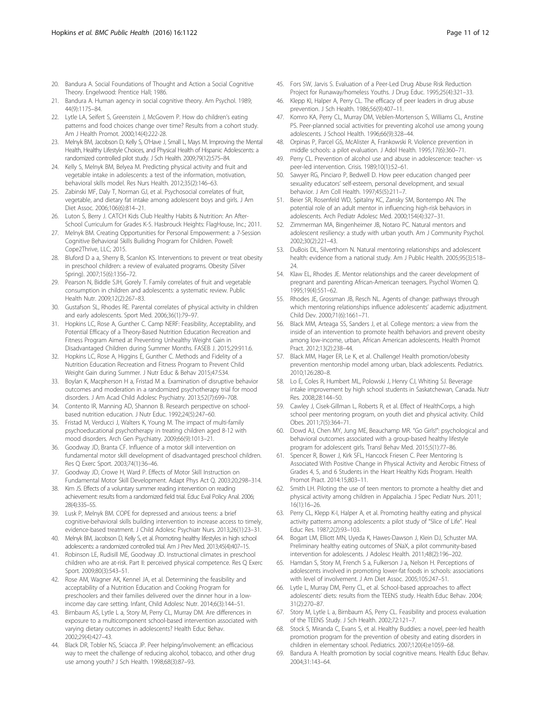- <span id="page-10-0"></span>20. Bandura A. Social Foundations of Thought and Action a Social Cognitive Theory. Engelwood: Prentice Hall; 1986.
- 21. Bandura A. Human agency in social cognitive theory. Am Psychol. 1989: 44(9):1175–84.
- 22. Lytle LA, Seifert S, Greenstein J, McGovern P. How do children's eating patterns and food choices change over time? Results from a cohort study. Am J Health Promot. 2000;14(4):222-28.
- 23. Melnyk BM, Jacobson D, Kelly S, O'Have J, Small L, Mays M. Improving the Mental Health, Healthy Lifestyle Choices, and Physical Health of Hispanic Adolescents: a randomized controlled pilot study. J Sch Health. 2009;79(12):575–84.
- 24. Kelly S, Melnyk BM, Belyea M. Predicting physical activity and fruit and vegetable intake in adolescents: a test of the information, motivation, behavioral skills model. Res Nurs Health. 2012;35(2):146–63.
- 25. Zabinski MF, Daly T, Norman GJ, et al. Psychosocial correlates of fruit, vegetable, and dietary fat intake among adolescent boys and girls. J Am Diet Assoc. 2006;106(6):814–21.
- 26. Luton S, Berry J. CATCH Kids Club Healthy Habits & Nutrition: An After-School Curriculum for Grades K-5. Hasbrouck Heights: FlagHouse, Inc.; 2011.
- 27. Melnyk BM. Creating Opportunities for Personal Empowerment: a 7-Session Cognitive Behavioral Skills Builidng Program for Children. Powell: Cope2Thrive, LLC; 2015.
- 28. Bluford D a a, Sherry B, Scanlon KS. Interventions to prevent or treat obesity in preschool children: a review of evaluated programs. Obesity (Silver Spring). 2007;15(6):1356–72.
- 29. Pearson N, Biddle SJH, Gorely T. Family correlates of fruit and vegetable consumption in children and adolescents: a systematic review. Public Health Nutr. 2009;12(2):267–83.
- 30. Gustafson SL, Rhodes RE. Parental correlates of physical activity in children and early adolescents. Sport Med. 2006;36(1):79–97.
- 31. Hopkins LC, Rose A, Gunther C. Camp NERF: Feasibility, Acceptability, and Potential Efficacy of a Theory-Based Nutrition Education Recreation and Fitness Program Aimed at Preventing Unhealthy Weight Gain in Disadvantaged Children during Summer Months. FASEB J. 2015;29:911.6.
- 32. Hopkins LC, Rose A, Higgins E, Gunther C. Methods and Fidelity of a Nutrition Education Recreation and Fitness Program to Prevent Child Weight Gain during Summer. J Nutr Educ & Behav 2015;47:S34.
- 33. Boylan K, Macpherson H a, Fristad M a. Examination of disruptive behavior outcomes and moderation in a randomized psychotherapy trial for mood disorders. J Am Acad Child Adolesc Psychiatry. 2013;52(7):699–708.
- 34. Contento IR, Manning AD, Shannon B. Research perspective on schoolbased nutrition education. J Nutr Educ. 1992;24(5):247–60.
- 35. Fristad M, Verducci J, Walters K, Young M. The impact of multi-family psychoeducational psychotherapy in treating children aged 8-12 with mood disorders. Arch Gen Psychiatry. 2009;66(9):1013–21.
- 36. Goodway JD, Branta CF. Influence of a motor skill intervention on fundamental motor skill development of disadvantaged preschool children. Res Q Exerc Sport. 2003;74(1):36–46.
- 37. Goodway JD, Crowe H, Ward P. Effects of Motor Skill Instruction on Fundamental Motor Skill Development. Adapt Phys Act Q. 2003:20;298–314.
- 38. Kim JS. Effects of a voluntary summer reading intervention on reading achievement: results from a randomized field trial. Educ Eval Policy Anal. 2006; 28(4):335–55.
- 39. Lusk P, Melnyk BM. COPE for depressed and anxious teens: a brief cognitive-behavioral skills building intervention to increase access to timely, evidence-based treatment. J Child Adolesc Psychiatr Nurs. 2013;26(1):23–31.
- 40. Melnyk BM, Jacobson D, Kelly S, et al. Promoting healthy lifestyles in high school adolescents: a randomized controlled trial. Am J Prev Med. 2013;45(4):407–15.
- 41. Robinson LE, Rudisill ME, Goodway JD. Instructional climates in preschool children who are at-risk. Part II: perceived physical competence. Res Q Exerc Sport. 2009;80(3):543–51.
- 42. Rose AM, Wagner AK, Kennel JA, et al. Determining the feasibility and acceptability of a Nutrition Education and Cooking Program for preschoolers and their families delivered over the dinner hour in a lowincome day care setting. Infant, Child Adolesc Nutr. 2014;6(3):144–51.
- 43. Birnbaum AS, Lytle L a, Story M, Perry CL, Murray DM. Are differences in exposure to a multicomponent school-based intervention associated with varying dietary outcomes in adolescents? Health Educ Behav. 2002;29(4):427–43.
- 44. Black DR, Tobler NS, Sciacca JP. Peer helping/involvement: an efficacious way to meet the challenge of reducing alcohol, tobacco, and other drug use among youth? J Sch Health. 1998;68(3):87–93.
- 45. Fors SW, Jarvis S. Evaluation of a Peer-Led Drug Abuse Risk Reduction Project for Runaway/homeless Youths. J Drug Educ. 1995;25(4):321–33.
- 46. Klepp KI, Halper A, Perry CL. The efficacy of peer leaders in drug abuse prevention. J Sch Health. 1986;56(9):407–11.
- 47. Komro KA, Perry CL, Murray DM, Veblen-Mortenson S, Williams CL, Anstine PS. Peer-planned social activities for preventing alcohol use among young adolescents. J School Health. 1996;66(9):328–44.
- 48. Orpinas P, Parcel GS, McAlister A, Frankowski R. Violence prevention in middle schools: a pilot evaluation. J Adol Health. 1995;17(6):360–71.
- 49. Perry CL. Prevention of alcohol use and abuse in adolescence: teacher- vs peer-led intervention. Crisis. 1989;10(1):52–61.
- 50. Sawyer RG, Pinciaro P, Bedwell D. How peer education changed peer sexuality educators' self-esteem, personal development, and sexual behavior. J Am Coll Health. 1997;45(5):211–7.
- 51. Beier SR, Rosenfeld WD, Spitalny KC, Zansky SM, Bontempo AN. The potential role of an adult mentor in influencing high-risk behaviors in adolescents. Arch Pediatr Adolesc Med. 2000;154(4):327–31.
- 52. Zimmerman MA, Bingenheimer JB, Notaro PC. Natural mentors and adolescent resiliency: a study with urban youth. Am J Community Psychol. 2002;30(2):221–43.
- 53. DuBois DL, Silverthorn N. Natural mentoring relationships and adolescent health: evidence from a national study. Am J Public Health. 2005;95(3):518– 24.
- 54. Klaw EL, Rhodes JE. Mentor relationships and the career development of pregnant and parenting African-American teenagers. Psychol Women Q. 1995;19(4):551–62.
- 55. Rhodes JE, Grossman JB, Resch NL. Agents of change: pathways through which mentoring relationships influence adolescents' academic adjustment. Child Dev. 2000;71(6):1661–71.
- 56. Black MM, Arteaga SS, Sanders J, et al. College mentors: a view from the inside of an intervention to promote health behaviors and prevent obesity among low-income, urban, African American adolescents. Health Promot Pract. 2012;13(2):238–44.
- 57. Black MM, Hager ER, Le K, et al. Challenge! Health promotion/obesity prevention mentorship model among urban, black adolescents. Pediatrics. 2010;126:280–8.
- 58. Lo E, Coles R, Humbert ML, Polowski J, Henry CJ, Whiting SJ. Beverage intake improvement by high school students in Saskatchewan, Canada. Nutr Res. 2008;28:144–50.
- 59. Cawley J, Cisek-Gillman L, Roberts R, et al. Effect of HealthCorps, a high school peer mentoring program, on youth diet and physical activity. Child Obes. 2011;7(5):364–71.
- 60. Dowd AJ, Chen MY, Jung ME, Beauchamp MR. "Go Girls!": psychological and behavioral outcomes associated with a group-based healthy lifestyle program for adolescent girls. Transl Behav Med. 2015;5(1):77–86.
- 61. Spencer R, Bower J, Kirk SFL, Hancock Friesen C. Peer Mentoring Is Associated With Positive Change in Physical Activity and Aerobic Fitness of Grades 4, 5, and 6 Students in the Heart Healthy Kids Program. Health Promot Pract. 2014:15;803–11.
- 62. Smith LH. Piloting the use of teen mentors to promote a healthy diet and physical activity among children in Appalachia. J Spec Pediatr Nurs. 2011; 16(1):16–26.
- 63. Perry CL, Klepp K-I, Halper A, et al. Promoting healthy eating and physical activity patterns among adolescents: a pilot study of "Slice of Life". Heal Educ Res. 1987;2(2):93–103.
- 64. Bogart LM, Elliott MN, Uyeda K, Hawes-Dawson J, Klein DJ, Schuster MA. Preliminary healthy eating outcomes of SNaX, a pilot community-based intervention for adolescents. J Adolesc Health. 2011;48(2):196–202.
- 65. Hamdan S, Story M, French S a, Fulkerson J a, Nelson H. Perceptions of adolescents involved in promoting lower-fat foods in schools: associations with level of involvement. J Am Diet Assoc. 2005;105:247–51.
- 66. Lytle L, Murray DM, Perry CL, et al. School-based approaches to affect adolescents' diets: results from the TEENS study. Health Educ Behav. 2004; 31(2):270–87.
- 67. Story M, Lytle L a, Birnbaum AS, Perry CL. Feasibility and process evaluation of the TEENS Study. J Sch Health. 2002;72:121–7.
- 68. Stock S, Miranda C, Evans S, et al. Healthy Buddies: a novel, peer-led health promotion program for the prevention of obesity and eating disorders in children in elementary school. Pediatrics. 2007;120(4):e1059–68.
- 69. Bandura A. Health promotion by social cognitive means. Health Educ Behav. 2004;31:143–64.